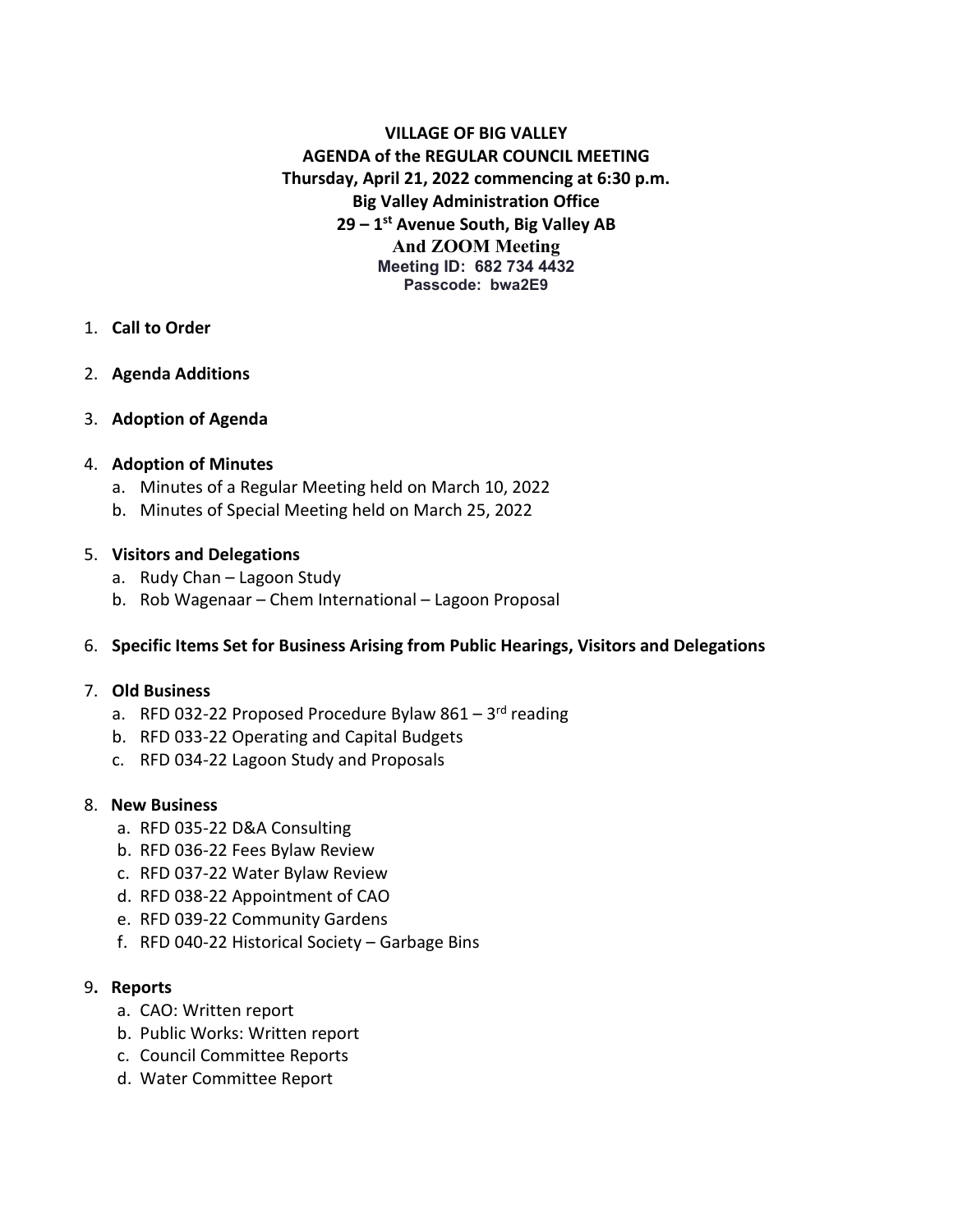**VILLAGE OF BIG VALLEY AGENDA of the REGULAR COUNCIL MEETING Thursday, April 21, 2022 commencing at 6:30 p.m. Big Valley Administration Office 29 – 1st Avenue South, Big Valley AB And ZOOM Meeting Meeting ID: 682 734 4432 Passcode: bwa2E9**

- 1. **Call to Order**
- 2. **Agenda Additions**
- 3. **Adoption of Agenda**

### 4. **Adoption of Minutes**

- a. Minutes of a Regular Meeting held on March 10, 2022
- b. Minutes of Special Meeting held on March 25, 2022

### 5. **Visitors and Delegations**

- a. Rudy Chan Lagoon Study
- b. Rob Wagenaar Chem International Lagoon Proposal

### 6. **Specific Items Set for Business Arising from Public Hearings, Visitors and Delegations**

### 7. **Old Business**

- a. RFD 032-22 Proposed Procedure Bylaw  $861 3^{rd}$  reading
- b. RFD 033-22 Operating and Capital Budgets
- c. RFD 034-22 Lagoon Study and Proposals

### 8. **New Business**

- a. RFD 035-22 D&A Consulting
- b. RFD 036-22 Fees Bylaw Review
- c. RFD 037-22 Water Bylaw Review
- d. RFD 038-22 Appointment of CAO
- e. RFD 039-22 Community Gardens
- f. RFD 040-22 Historical Society Garbage Bins

### 9**. Reports**

- a. CAO: Written report
- b. Public Works: Written report
- c. Council Committee Reports
- d. Water Committee Report